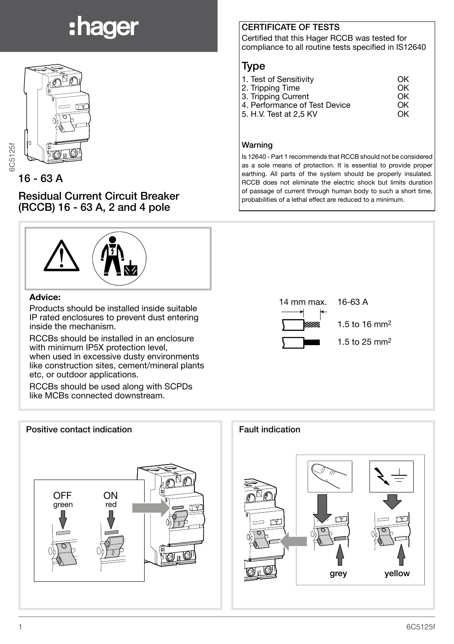# :hager



16 - 63 A

Residual Current Circuit Breaker (RCCB) 16 - 63 A, 2 and 4 pole



#### Advice:

Products should be installed inside suitable IP rated enclosures to prevent dust entering inside the mechanism.

RCCBs should be installed in an enclosure with minimum IP5X protection level. when used in excessive dusty environments like construction sites, cement/mineral plants etc, or outdoor applications.

RCCBs should be used along with SCPDs like MCBs connected downstream.



#### CERTIFICATE OF TESTS

Certified that this Hager RCCB was tested for compliance to all routine tests specified in IS12640

### Type

| 1. Test of Sensitivity        | OK |
|-------------------------------|----|
| 2. Tripping Time              | OK |
| 3. Tripping Current           | OK |
| 4. Performance of Test Device | OK |
| 5. H.V. Test at 2.5 KV        | OK |
|                               |    |

#### Warning

Is 12640 - Part 1 recommends that RCCB should not be considered as a sole means of protection. It is essential to provide proper earthing. All parts of the system should be properly insulated. RCCB does not eliminate the electric shock but limits duration of passage of current through human body to such a short time, probabilities of a lethal effect are reduced to a minimum.